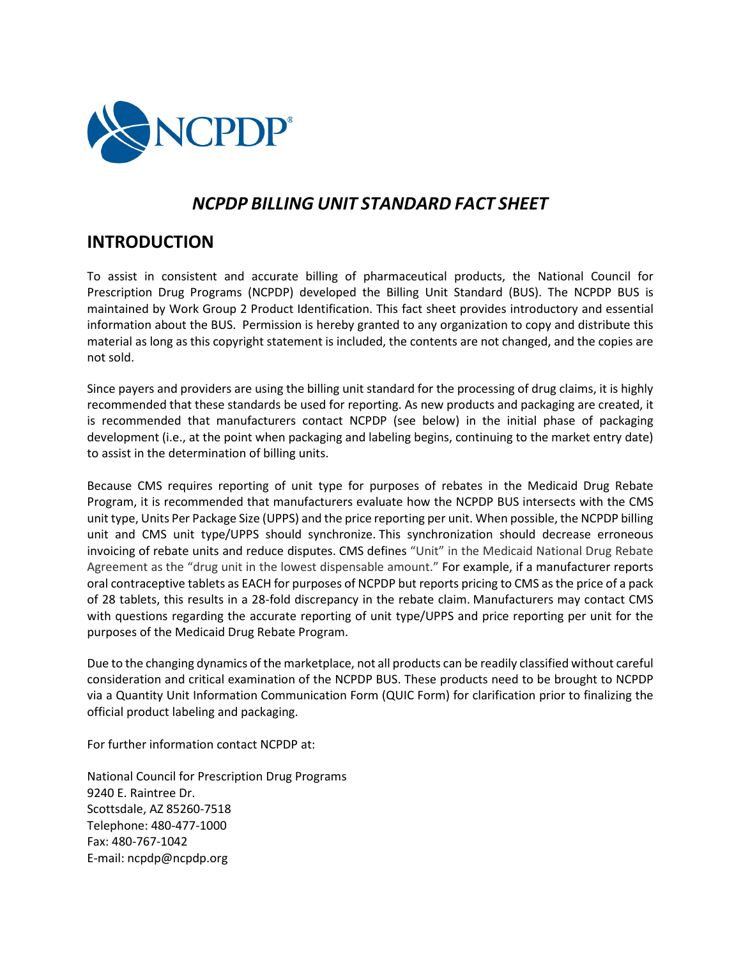

# *NCPDP BILLING UNIT STANDARD FACT SHEET*

# **INTRODUCTION**

To assist in consistent and accurate billing of pharmaceutical products, the National Council for Prescription Drug Programs (NCPDP) developed the Billing Unit Standard (BUS). The NCPDP BUS is maintained by Work Group 2 Product Identification. This fact sheet provides introductory and essential information about the BUS. Permission is hereby granted to any organization to copy and distribute this material as long as this copyright statement is included, the contents are not changed, and the copies are not sold.

Since payers and providers are using the billing unit standard for the processing of drug claims, it is highly recommended that these standards be used for reporting. As new products and packaging are created, it is recommended that manufacturers contact NCPDP (see below) in the initial phase of packaging development (i.e., at the point when packaging and labeling begins, continuing to the market entry date) to assist in the determination of billing units.

Because CMS requires reporting of unit type for purposes of rebates in the Medicaid Drug Rebate Program, it is recommended that manufacturers evaluate how the NCPDP BUS intersects with the CMS unit type, Units Per Package Size (UPPS) and the price reporting per unit. When possible, the NCPDP billing unit and CMS unit type/UPPS should synchronize. This synchronization should decrease erroneous invoicing of rebate units and reduce disputes. CMS defines "Unit" in the Medicaid National Drug Rebate Agreement as the "drug unit in the lowest dispensable amount." For example, if a manufacturer reports oral contraceptive tablets as EACH for purposes of NCPDP but reports pricing to CMS as the price of a pack of 28 tablets, this results in a 28-fold discrepancy in the rebate claim. Manufacturers may contact CMS with questions regarding the accurate reporting of unit type/UPPS and price reporting per unit for the purposes of the Medicaid Drug Rebate Program.

Due to the changing dynamics of the marketplace, not all products can be readily classified without careful consideration and critical examination of the NCPDP BUS. These products need to be brought to NCPDP via a Quantity Unit Information Communication Form (QUIC Form) for clarification prior to finalizing the official product labeling and packaging.

For further information contact NCPDP at:

National Council for Prescription Drug Programs 9240 E. Raintree Dr. Scottsdale, AZ 85260-7518 Telephone: 480-477-1000 Fax: 480-767-1042 E-mail: ncpdp@ncpdp.org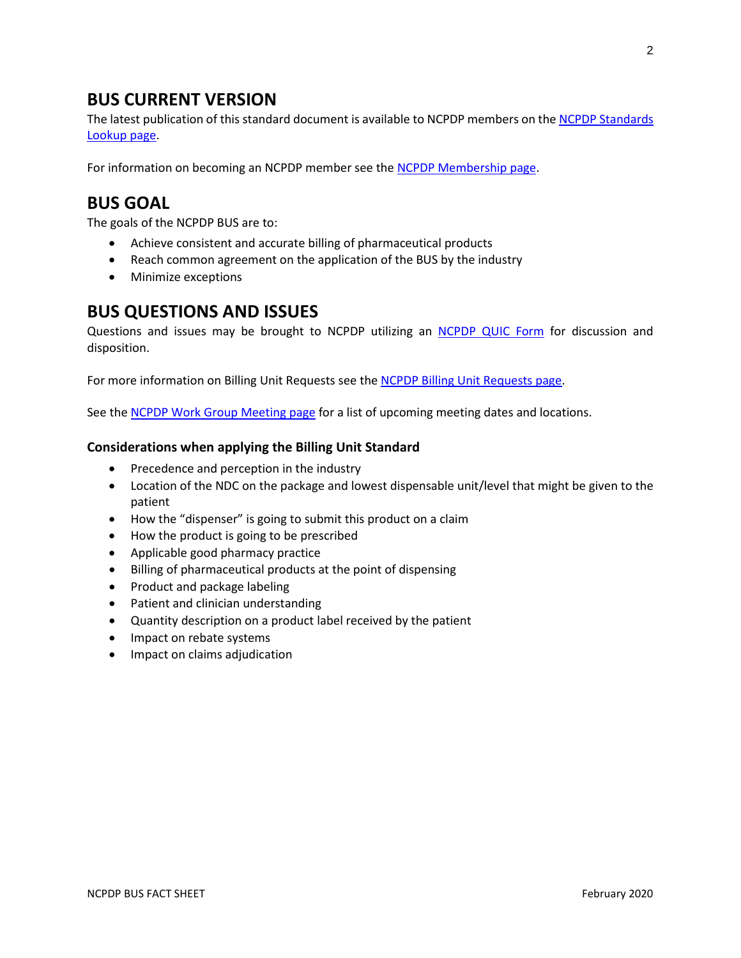# **BUS CURRENT VERSION**

The latest publication of this standard document is available to NCPDP members on the NCPDP Standards [Lookup page.](https://ncpdp.org/Members/Standards-Lookup)

For information on becoming an NCPDP member see the [NCPDP Membership page.](https://ncpdp.org/Membership)

# **BUS GOAL**

The goals of the NCPDP BUS are to:

- Achieve consistent and accurate billing of pharmaceutical products
- Reach common agreement on the application of the BUS by the industry
- Minimize exceptions

### **BUS QUESTIONS AND ISSUES**

Questions and issues may be brought to NCPDP utilizing an NCPDP [QUIC Form](https://ncpdp.org/NCPDP/media/pdf/QUIC-form-and.guidance.zip) for discussion and disposition.

For more information on Billing Unit Requests see th[e NCPDP Billing Unit Requests page.](https://ncpdp.org/Standards-Development/Billing-Unit-Requests)

See the [NCPDP Work Group Meeting page](https://ncpdp.org/Events/Work-Group-Meetings) for a list of upcoming meeting dates and locations.

#### **Considerations when applying the Billing Unit Standard**

- Precedence and perception in the industry
- Location of the NDC on the package and lowest dispensable unit/level that might be given to the patient
- How the "dispenser" is going to submit this product on a claim
- How the product is going to be prescribed
- Applicable good pharmacy practice
- Billing of pharmaceutical products at the point of dispensing
- Product and package labeling
- Patient and clinician understanding
- Quantity description on a product label received by the patient
- Impact on rebate systems
- Impact on claims adjudication